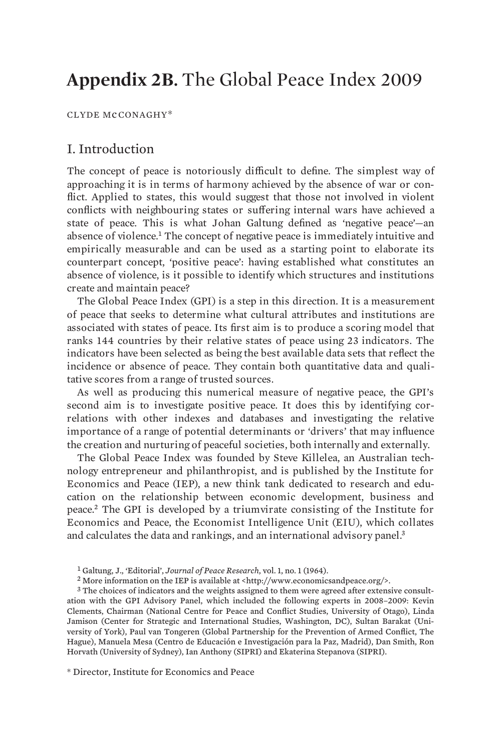# **Appendix 2B.** The Global Peace Index 2009

CLYDE McCONAGHY\*

## I. Introduction

The concept of peace is notoriously difficult to define. The simplest way of approaching it is in terms of harmony achieved by the absence of war or conflict. Applied to states, this would suggest that those not involved in violent conflicts with neighbouring states or suffering internal wars have achieved a state of peace. This is what Johan Galtung defined as 'negative peace'—an absence of violence.<sup>1</sup> The concept of negative peace is immediately intuitive and empirically measurable and can be used as a starting point to elaborate its counterpart concept, 'positive peace': having established what constitutes an absence of violence, is it possible to identify which structures and institutions create and maintain peace?

The Global Peace Index (GPI) is a step in this direction. It is a measurement of peace that seeks to determine what cultural attributes and institutions are associated with states of peace. Its first aim is to produce a scoring model that ranks 144 countries by their relative states of peace using 23 indicators. The indicators have been selected as being the best available data sets that reflect the incidence or absence of peace. They contain both quantitative data and qualitative scores from a range of trusted sources.

As well as producing this numerical measure of negative peace, the GPI's second aim is to investigate positive peace. It does this by identifying correlations with other indexes and databases and investigating the relative importance of a range of potential determinants or 'drivers' that may influence the creation and nurturing of peaceful societies, both internally and externally.

The Global Peace Index was founded by Steve Killelea, an Australian technology entrepreneur and philanthropist, and is published by the Institute for Economics and Peace (IEP), a new think tank dedicated to research and education on the relationship between economic development, business and peace.<sup>2</sup> The GPI is developed by a triumvirate consisting of the Institute for Economics and Peace, the Economist Intelligence Unit (EIU), which collates and calculates the data and rankings, and an international advisory panel.<sup>3</sup>

\* Director, Institute for Economics and Peace

<sup>1</sup> Galtung, J., 'Editorial', *Journal of Peace Research*, vol. 1, no. 1 (1964).

<sup>&</sup>lt;sup>2</sup> More information on the IEP is available at  $\langle$ http://www.economicsandpeace.org/>.

<sup>&</sup>lt;sup>3</sup> The choices of indicators and the weights assigned to them were agreed after extensive consultation with the GPI Advisory Panel, which included the following experts in 2008–2009: Kevin Clements, Chairman (National Centre for Peace and Conflict Studies, University of Otago), Linda Jamison (Center for Strategic and International Studies, Washington, DC), Sultan Barakat (University of York), Paul van Tongeren (Global Partnership for the Prevention of Armed Conflict, The Hague), Manuela Mesa (Centro de Educación e Investigación para la Paz, Madrid), Dan Smith, Ron Horvath (University of Sydney), Ian Anthony (SIPRI) and Ekaterina Stepanova (SIPRI).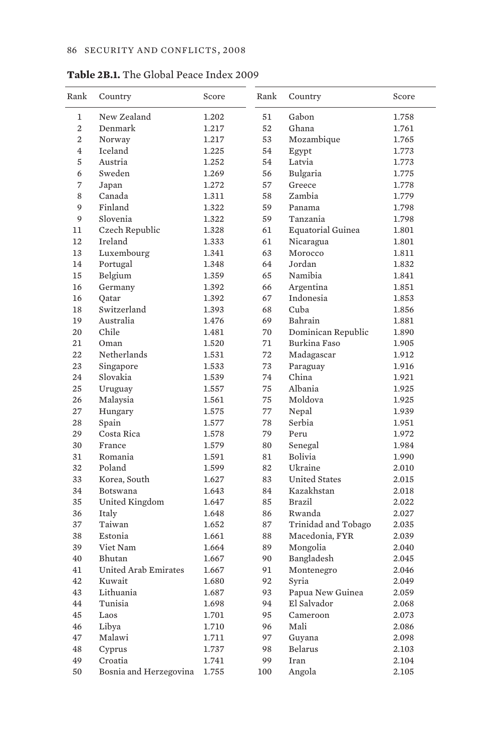| Rank           | Country                | Score | Rank | Country                  | Score |
|----------------|------------------------|-------|------|--------------------------|-------|
| 1              | New Zealand            | 1.202 | 51   | Gabon                    | 1.758 |
| 2              | Denmark                | 1.217 | 52   | Ghana                    | 1.761 |
| $\overline{2}$ | Norway                 | 1.217 | 53   | Mozambique               | 1.765 |
| $\overline{4}$ | <b>Iceland</b>         | 1.225 | 54   | Egypt                    | 1.773 |
| 5              | Austria                | 1.252 | 54   | Latvia                   | 1.773 |
| 6              | Sweden                 | 1.269 | 56   | Bulgaria                 | 1.775 |
| 7              | Japan                  | 1.272 | 57   | Greece                   | 1.778 |
| 8              | Canada                 | 1.311 | 58   | Zambia                   | 1.779 |
| 9              | Finland                | 1.322 | 59   | Panama                   | 1.798 |
| 9              | Slovenia               | 1.322 | 59   | Tanzania                 | 1.798 |
| 11             | Czech Republic         | 1.328 | 61   | <b>Equatorial Guinea</b> | 1.801 |
| 12             | Ireland                | 1.333 | 61   | Nicaragua                | 1.801 |
| 13             | Luxembourg             | 1.341 | 63   | Morocco                  | 1.811 |
| 14             | Portugal               | 1.348 | 64   | Jordan                   | 1.832 |
| 15             | Belgium                | 1.359 | 65   | Namibia                  | 1.841 |
| 16             | Germany                | 1.392 | 66   | Argentina                | 1.851 |
| 16             | Qatar                  | 1.392 | 67   | Indonesia                | 1.853 |
| 18             | Switzerland            | 1.393 | 68   | Cuba                     | 1.856 |
| 19             | Australia              | 1.476 | 69   | Bahrain                  | 1.881 |
| 20             | Chile                  | 1.481 | 70   | Dominican Republic       | 1.890 |
| 21             | Oman                   | 1.520 | 71   | Burkina Faso             | 1.905 |
| 22             | Netherlands            | 1.531 | 72   | Madagascar               | 1.912 |
| 23             | Singapore              | 1.533 | 73   | Paraguay                 | 1.916 |
| 24             | Slovakia               | 1.539 | 74   | China                    | 1.921 |
| 25             | Uruguay                | 1.557 | 75   | Albania                  | 1.925 |
| 26             | Malaysia               | 1.561 | 75   | Moldova                  | 1.925 |
| 27             | Hungary                | 1.575 | 77   | Nepal                    | 1.939 |
| 28             | Spain                  | 1.577 | 78   | Serbia                   | 1.951 |
| 29             | Costa Rica             | 1.578 | 79   | Peru                     | 1.972 |
| 30             | France                 | 1.579 | 80   | Senegal                  | 1.984 |
| 31             | Romania                | 1.591 | 81   | Bolivia                  | 1.990 |
| 32             | Poland                 | 1.599 | 82   | Ukraine                  | 2.010 |
| 33             | Korea, South           | 1.627 | 83   | <b>United States</b>     | 2.015 |
| 34             | Botswana               |       | 84   | Kazakhstan               |       |
| 35             |                        | 1.643 | 85   | Brazil                   | 2.018 |
|                | United Kingdom         | 1.647 |      |                          | 2.022 |
| 36             | Italy                  | 1.648 | 86   | Rwanda                   | 2.027 |
| 37             | Taiwan                 | 1.652 | 87   | Trinidad and Tobago      | 2.035 |
| 38             | Estonia                | 1.661 | 88   | Macedonia, FYR           | 2.039 |
| 39             | Viet Nam               | 1.664 | 89   | Mongolia                 | 2.040 |
| 40             | <b>Bhutan</b>          | 1.667 | 90   | Bangladesh               | 2.045 |
| 41             | United Arab Emirates   | 1.667 | 91   | Montenegro               | 2.046 |
| 42             | Kuwait                 | 1.680 | 92   | Syria                    | 2.049 |
| 43             | Lithuania              | 1.687 | 93   | Papua New Guinea         | 2.059 |
| 44             | Tunisia                | 1.698 | 94   | El Salvador              | 2.068 |
| 45             | Laos                   | 1.701 | 95   | Cameroon                 | 2.073 |
| 46             | Libya                  | 1.710 | 96   | Mali                     | 2.086 |
| 47             | Malawi                 | 1.711 | 97   | Guyana                   | 2.098 |
| 48             | Cyprus                 | 1.737 | 98   | Belarus                  | 2.103 |
| 49             | Croatia                | 1.741 | 99   | Iran                     | 2.104 |
| 50             | Bosnia and Herzegovina | 1.755 | 100  | Angola                   | 2.105 |

**Table 2B.1.** The Global Peace Index 2009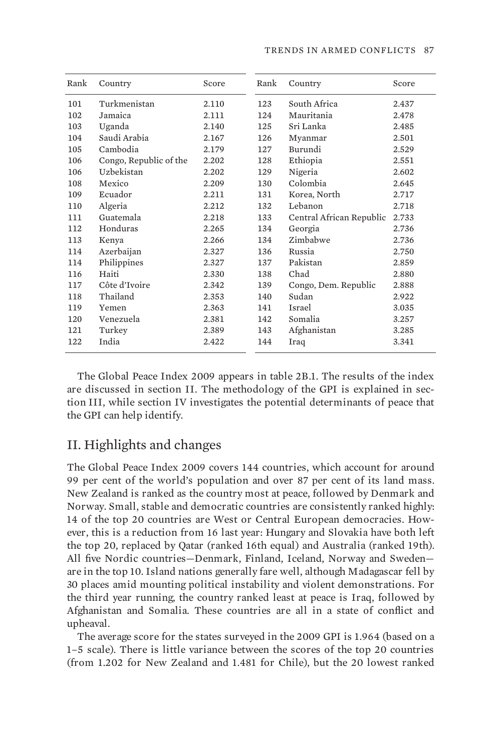| Rank | Country                | Score | Rank | Country                  | Score |
|------|------------------------|-------|------|--------------------------|-------|
| 101  | Turkmenistan           | 2.110 | 123  | South Africa             | 2.437 |
| 102  | Jamaica                | 2.111 | 124  | Mauritania               | 2.478 |
| 103  | Uganda                 | 2.140 | 125  | Sri Lanka                | 2.485 |
| 104  | Saudi Arabia           | 2.167 | 126  | Myanmar                  | 2.501 |
| 105  | Cambodia               | 2.179 | 127  | Burundi                  | 2.529 |
| 106  | Congo, Republic of the | 2.202 | 128  | Ethiopia                 | 2.551 |
| 106  | Uzbekistan             | 2.202 | 129  | Nigeria                  | 2.602 |
| 108  | Mexico                 | 2.209 | 130  | Colombia                 | 2.645 |
| 109  | Ecuador                | 2.211 | 131  | Korea, North             | 2.717 |
| 110  | Algeria                | 2.212 | 132  | Lebanon                  | 2.718 |
| 111  | Guatemala              | 2.218 | 133  | Central African Republic | 2.733 |
| 112  | Honduras               | 2.265 | 134  | Georgia                  | 2.736 |
| 113  | Kenya                  | 2.266 | 134  | Zimbabwe                 | 2.736 |
| 114  | Azerbaijan             | 2.327 | 136  | Russia                   | 2.750 |
| 114  | Philippines            | 2.327 | 137  | Pakistan                 | 2.859 |
| 116  | Haiti                  | 2.330 | 138  | Chad                     | 2.880 |
| 117  | Côte d'Ivoire          | 2.342 | 139  | Congo, Dem. Republic     | 2.888 |
| 118  | Thailand               | 2.353 | 140  | Sudan                    | 2.922 |
| 119  | Yemen                  | 2.363 | 141  | Israel                   | 3.035 |
| 120  | Venezuela              | 2.381 | 142  | Somalia                  | 3.257 |
| 121  | Turkey                 | 2.389 | 143  | Afghanistan              | 3.285 |
| 122  | India                  | 2.422 | 144  | Iraq                     | 3.341 |

The Global Peace Index 2009 appears in table 2B.1. The results of the index are discussed in section II. The methodology of the GPI is explained in section III, while section IV investigates the potential determinants of peace that the GPI can help identify.

## II. Highlights and changes

The Global Peace Index 2009 covers 144 countries, which account for around 99 per cent of the world's population and over 87 per cent of its land mass. New Zealand is ranked as the country most at peace, followed by Denmark and Norway. Small, stable and democratic countries are consistently ranked highly: 14 of the top 20 countries are West or Central European democracies. However, this is a reduction from 16 last year: Hungary and Slovakia have both left the top 20, replaced by Qatar (ranked 16th equal) and Australia (ranked 19th). All five Nordic countries—Denmark, Finland, Iceland, Norway and Sweden are in the top 10. Island nations generally fare well, although Madagascar fell by 30 places amid mounting political instability and violent demonstrations. For the third year running, the country ranked least at peace is Iraq, followed by Afghanistan and Somalia. These countries are all in a state of conflict and upheaval.

The average score for the states surveyed in the 2009 GPI is 1.964 (based on a 1–5 scale). There is little variance between the scores of the top 20 countries (from 1.202 for New Zealand and 1.481 for Chile), but the 20 lowest ranked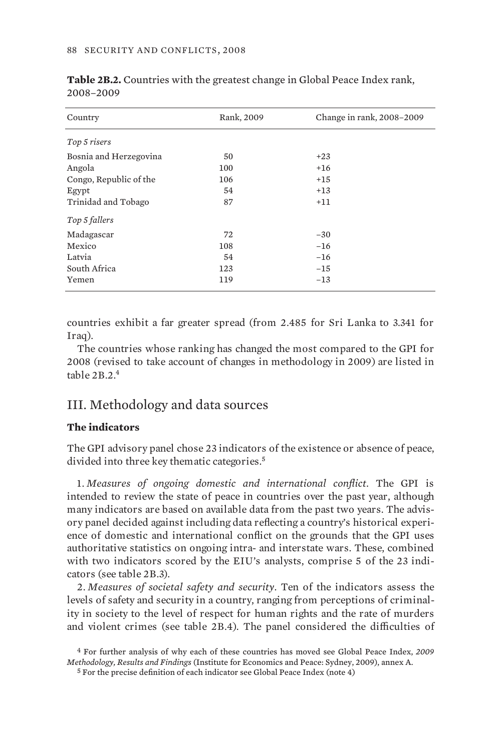| Country                | Rank, 2009 | Change in rank, 2008-2009 |
|------------------------|------------|---------------------------|
| Top 5 risers           |            |                           |
| Bosnia and Herzegovina | 50         | $+23$                     |
| Angola                 | 100        | $+16$                     |
| Congo, Republic of the | 106        | $+15$                     |
| Egypt                  | 54         | $+13$                     |
| Trinidad and Tobago    | 87         | $+11$                     |
| Top 5 fallers          |            |                           |
| Madagascar             | 72         | $-30$                     |
| Mexico                 | 108        | $-16$                     |
| Latvia                 | 54         | $-16$                     |
| South Africa           | 123        | $-15$                     |
| Yemen                  | 119        | $-13$                     |

**Table 2B.2.** Countries with the greatest change in Global Peace Index rank, 2008–2009

countries exhibit a far greater spread (from 2.485 for Sri Lanka to 3.341 for Iraq).

The countries whose ranking has changed the most compared to the GPI for 2008 (revised to take account of changes in methodology in 2009) are listed in table 2B.2.<sup>4</sup>

#### III. Methodology and data sources

#### **The indicators**

The GPI advisory panel chose 23 indicators of the existence or absence of peace, divided into three key thematic categories.<sup>5</sup>

1. *Measures of ongoing domestic and international conflict.* The GPI is intended to review the state of peace in countries over the past year, although many indicators are based on available data from the past two years. The advisory panel decided against including data reflecting a country's historical experience of domestic and international conflict on the grounds that the GPI uses authoritative statistics on ongoing intra- and interstate wars. These, combined with two indicators scored by the EIU's analysts, comprise 5 of the 23 indicators (see table 2B.3).

2. *Measures of societal safety and security.* Ten of the indicators assess the levels of safety and security in a country, ranging from perceptions of criminality in society to the level of respect for human rights and the rate of murders and violent crimes (see table 2B.4). The panel considered the difficulties of

<sup>4</sup> For further analysis of why each of these countries has moved see Global Peace Index, *2009 Methodology, Results and Findings* (Institute for Economics and Peace: Sydney, 2009), annex A.

<sup>5</sup> For the precise definition of each indicator see Global Peace Index (note 4)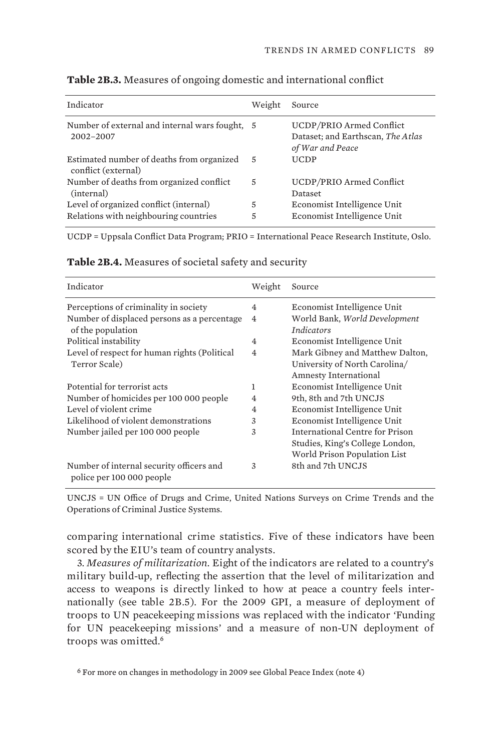| Indicator                                                                       | Weight | Source                                                                            |
|---------------------------------------------------------------------------------|--------|-----------------------------------------------------------------------------------|
| Number of external and internal wars fought, 5<br>2002-2007                     |        | UCDP/PRIO Armed Conflict<br>Dataset; and Earthscan, The Atlas<br>of War and Peace |
| Estimated number of deaths from organized<br>conflict (external)                | - 5    | <b>UCDP</b>                                                                       |
| Number of deaths from organized conflict<br>(internal)                          | 5      | UCDP/PRIO Armed Conflict<br>Dataset                                               |
| Level of organized conflict (internal)<br>Relations with neighbouring countries | 5<br>5 | Economist Intelligence Unit<br>Economist Intelligence Unit                        |

**Table 2B.3.** Measures of ongoing domestic and international conflict

UCDP = Uppsala Conflict Data Program; PRIO = International Peace Research Institute, Oslo.

| Indicator                                                             | Weight         | Source                                             |
|-----------------------------------------------------------------------|----------------|----------------------------------------------------|
| Perceptions of criminality in society                                 | $\overline{4}$ | Economist Intelligence Unit                        |
| Number of displaced persons as a percentage<br>of the population      | $\overline{4}$ | World Bank, World Development<br><i>Indicators</i> |
| Political instability                                                 | $\overline{4}$ | Economist Intelligence Unit                        |
| Level of respect for human rights (Political                          | $\overline{4}$ | Mark Gibney and Matthew Dalton,                    |
| Terror Scale)                                                         |                | University of North Carolina/                      |
|                                                                       |                | Amnesty International                              |
| Potential for terrorist acts                                          | 1              | Economist Intelligence Unit                        |
| Number of homicides per 100 000 people                                | 4              | 9th, 8th and 7th UNCJS                             |
| Level of violent crime                                                | $\overline{4}$ | Economist Intelligence Unit                        |
| Likelihood of violent demonstrations                                  | 3              | Economist Intelligence Unit                        |
| Number jailed per 100 000 people                                      | 3              | International Centre for Prison                    |
|                                                                       |                | Studies, King's College London,                    |
|                                                                       |                | World Prison Population List                       |
| Number of internal security officers and<br>police per 100 000 people | 3              | 8th and 7th UNCJS                                  |

**Table 2B.4.** Measures of societal safety and security

UNCJS = UN Office of Drugs and Crime, United Nations Surveys on Crime Trends and the Operations of Criminal Justice Systems.

comparing international crime statistics. Five of these indicators have been scored by the EIU's team of country analysts.

3. *Measures of militarization*. Eight of the indicators are related to a country's military build-up, reflecting the assertion that the level of militarization and access to weapons is directly linked to how at peace a country feels internationally (see table 2B.5). For the 2009 GPI, a measure of deployment of troops to UN peacekeeping missions was replaced with the indicator 'Funding for UN peacekeeping missions' and a measure of non-UN deployment of troops was omitted.<sup>6</sup>

6 For more on changes in methodology in 2009 see Global Peace Index (note 4)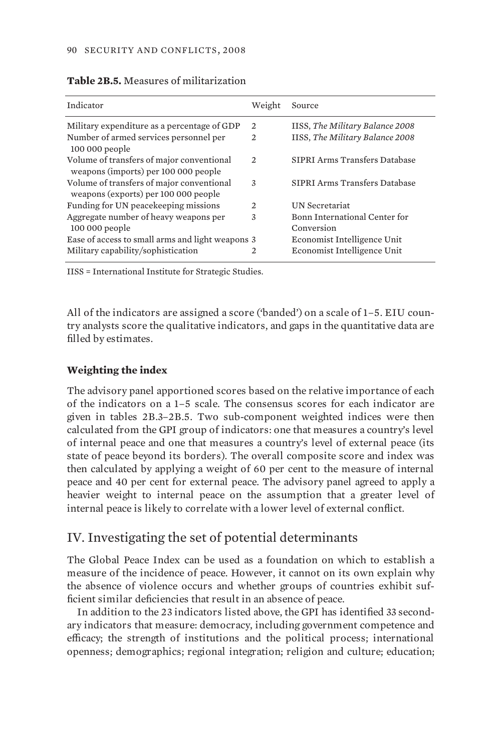| Indicator                                                                         | Weight         | Source                                      |
|-----------------------------------------------------------------------------------|----------------|---------------------------------------------|
| Military expenditure as a percentage of GDP                                       | $\mathfrak{D}$ | IISS, The Military Balance 2008             |
| Number of armed services personnel per<br>100 000 people                          | $\mathfrak{D}$ | IISS, The Military Balance 2008             |
| Volume of transfers of major conventional<br>weapons (imports) per 100 000 people | 2              | SIPRI Arms Transfers Database               |
| Volume of transfers of major conventional<br>weapons (exports) per 100 000 people | 3              | SIPRI Arms Transfers Database               |
| Funding for UN peacekeeping missions                                              | $\mathfrak{D}$ | <b>UN</b> Secretariat                       |
| Aggregate number of heavy weapons per<br>100 000 people                           | 3              | Bonn International Center for<br>Conversion |
| Ease of access to small arms and light weapons 3                                  |                | Economist Intelligence Unit                 |
| Military capability/sophistication                                                | 2              | Economist Intelligence Unit                 |

#### **Table 2B.5.** Measures of militarization

IISS = International Institute for Strategic Studies.

All of the indicators are assigned a score ('banded') on a scale of 1–5. EIU country analysts score the qualitative indicators, and gaps in the quantitative data are filled by estimates.

#### **Weighting the index**

The advisory panel apportioned scores based on the relative importance of each of the indicators on a 1–5 scale. The consensus scores for each indicator are given in tables 2B.3–2B.5. Two sub-component weighted indices were then calculated from the GPI group of indicators: one that measures a country's level of internal peace and one that measures a country's level of external peace (its state of peace beyond its borders). The overall composite score and index was then calculated by applying a weight of 60 per cent to the measure of internal peace and 40 per cent for external peace. The advisory panel agreed to apply a heavier weight to internal peace on the assumption that a greater level of internal peace is likely to correlate with a lower level of external conflict.

# IV. Investigating the set of potential determinants

The Global Peace Index can be used as a foundation on which to establish a measure of the incidence of peace. However, it cannot on its own explain why the absence of violence occurs and whether groups of countries exhibit sufficient similar deficiencies that result in an absence of peace.

In addition to the 23 indicators listed above, the GPI has identified 33 secondary indicators that measure: democracy, including government competence and efficacy; the strength of institutions and the political process; international openness; demographics; regional integration; religion and culture; education;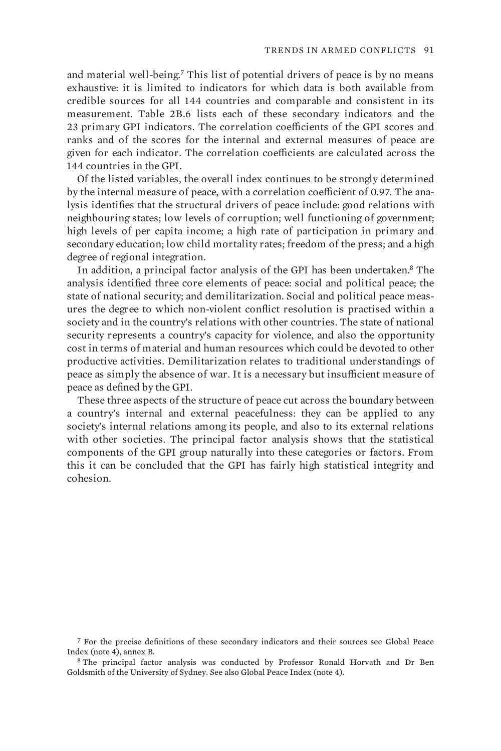and material well-being.<sup>7</sup> This list of potential drivers of peace is by no means exhaustive: it is limited to indicators for which data is both available from credible sources for all 144 countries and comparable and consistent in its measurement. Table 2B.6 lists each of these secondary indicators and the 23 primary GPI indicators. The correlation coefficients of the GPI scores and ranks and of the scores for the internal and external measures of peace are given for each indicator. The correlation coefficients are calculated across the 144 countries in the GPI.

Of the listed variables, the overall index continues to be strongly determined by the internal measure of peace, with a correlation coefficient of 0.97. The analysis identifies that the structural drivers of peace include: good relations with neighbouring states; low levels of corruption; well functioning of government; high levels of per capita income; a high rate of participation in primary and secondary education; low child mortality rates; freedom of the press; and a high degree of regional integration.

In addition, a principal factor analysis of the GPI has been undertaken.<sup>8</sup> The analysis identified three core elements of peace: social and political peace; the state of national security; and demilitarization. Social and political peace measures the degree to which non-violent conflict resolution is practised within a society and in the country's relations with other countries. The state of national security represents a country's capacity for violence, and also the opportunity cost in terms of material and human resources which could be devoted to other productive activities. Demilitarization relates to traditional understandings of peace as simply the absence of war. It is a necessary but insufficient measure of peace as defined by the GPI.

These three aspects of the structure of peace cut across the boundary between a country's internal and external peacefulness: they can be applied to any society's internal relations among its people, and also to its external relations with other societies. The principal factor analysis shows that the statistical components of the GPI group naturally into these categories or factors. From this it can be concluded that the GPI has fairly high statistical integrity and cohesion.

7 For the precise definitions of these secondary indicators and their sources see Global Peace Index (note 4), annex B.

8 The principal factor analysis was conducted by Professor Ronald Horvath and Dr Ben Goldsmith of the University of Sydney. See also Global Peace Index (note 4).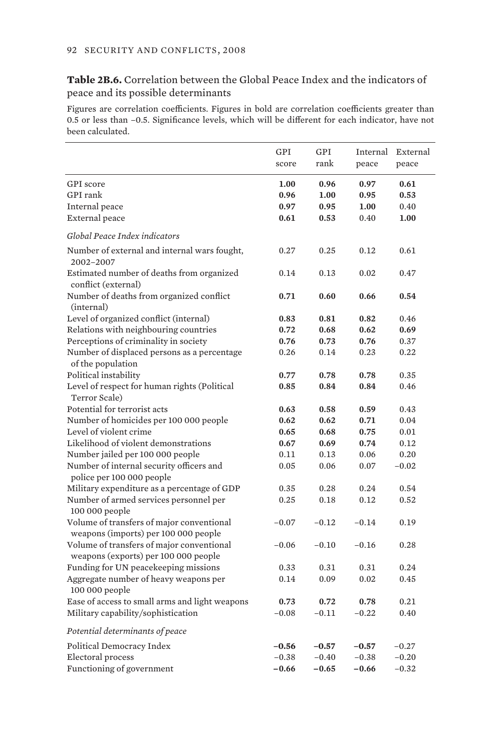#### **Table 2B.6.** Correlation between the Global Peace Index and the indicators of peace and its possible determinants

Figures are correlation coefficients. Figures in bold are correlation coefficients greater than 0.5 or less than –0.5. Significance levels, which will be different for each indicator, have not been calculated. 

|                                                                                   | GPI     | GPI     | Internal | External |
|-----------------------------------------------------------------------------------|---------|---------|----------|----------|
|                                                                                   | score   | rank    | peace    | peace    |
| GPI score                                                                         | 1.00    | 0.96    | 0.97     | 0.61     |
| GPI rank                                                                          | 0.96    | 1.00    | 0.95     | 0.53     |
| Internal peace                                                                    | 0.97    | 0.95    | 1.00     | 0.40     |
| <b>External</b> peace                                                             | 0.61    | 0.53    | 0.40     | 1.00     |
|                                                                                   |         |         |          |          |
| Global Peace Index indicators                                                     |         |         |          |          |
| Number of external and internal wars fought,<br>2002-2007                         | 0.27    | 0.25    | 0.12     | 0.61     |
| Estimated number of deaths from organized<br>conflict (external)                  | 0.14    | 0.13    | 0.02     | 0.47     |
| Number of deaths from organized conflict<br>(internal)                            | 0.71    | 0.60    | 0.66     | 0.54     |
| Level of organized conflict (internal)                                            | 0.83    | 0.81    | 0.82     | 0.46     |
| Relations with neighbouring countries                                             | 0.72    | 0.68    | 0.62     | 0.69     |
| Perceptions of criminality in society                                             | 0.76    | 0.73    | 0.76     | 0.37     |
| Number of displaced persons as a percentage                                       | 0.26    | 0.14    | 0.23     | 0.22     |
| of the population                                                                 |         |         |          |          |
| Political instability                                                             | 0.77    | 0.78    | 0.78     | 0.35     |
| Level of respect for human rights (Political                                      | 0.85    | 0.84    | 0.84     | 0.46     |
| Terror Scale)                                                                     |         |         |          |          |
| Potential for terrorist acts                                                      | 0.63    | 0.58    | 0.59     | 0.43     |
| Number of homicides per 100 000 people                                            | 0.62    | 0.62    | 0.71     | 0.04     |
| Level of violent crime                                                            | 0.65    | 0.68    | 0.75     | 0.01     |
| Likelihood of violent demonstrations                                              | 0.67    | 0.69    | 0.74     | 0.12     |
| Number jailed per 100 000 people                                                  | 0.11    | 0.13    | 0.06     | 0.20     |
| Number of internal security officers and<br>police per 100 000 people             | 0.05    | 0.06    | 0.07     | $-0.02$  |
| Military expenditure as a percentage of GDP                                       | 0.35    | 0.28    | 0.24     | 0.54     |
| Number of armed services personnel per<br>100 000 people                          | 0.25    | 0.18    | 0.12     | 0.52     |
| Volume of transfers of major conventional<br>weapons (imports) per 100 000 people | $-0.07$ | $-0.12$ | $-0.14$  | 0.19     |
| Volume of transfers of major conventional<br>weapons (exports) per 100 000 people | $-0.06$ | $-0.10$ | $-0.16$  | 0.28     |
| Funding for UN peacekeeping missions                                              | 0.33    | 0.31    | 0.31     | 0.24     |
| Aggregate number of heavy weapons per<br>100 000 people                           | 0.14    | 0.09    | 0.02     | 0.45     |
| Ease of access to small arms and light weapons                                    | 0.73    | 0.72    | 0.78     | 0.21     |
| Military capability/sophistication                                                | $-0.08$ | $-0.11$ | $-0.22$  | 0.40     |
| Potential determinants of peace                                                   |         |         |          |          |
| Political Democracy Index                                                         | $-0.56$ | $-0.57$ | $-0.57$  | $-0.27$  |
| Electoral process                                                                 | $-0.38$ | $-0.40$ | $-0.38$  | $-0.20$  |
| Functioning of government                                                         | $-0.66$ | $-0.65$ | $-0.66$  | $-0.32$  |